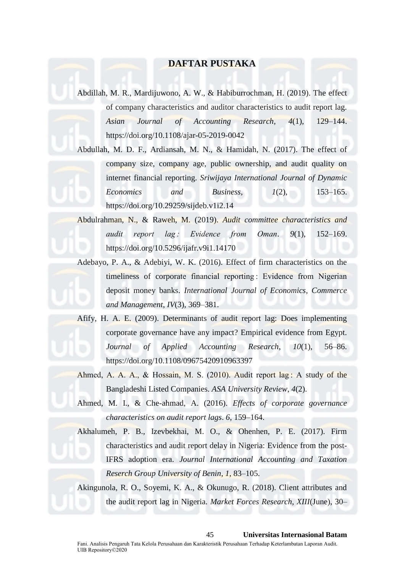# **DAFTAR PUSTAKA**

Abdillah, M. R., Mardijuwono, A. W., & Habiburrochman, H. (2019). The effect of company characteristics and auditor characteristics to audit report lag. *Asian Journal of Accounting Research*, *4*(1), 129–144. https://doi.org/10.1108/ajar-05-2019-0042

Abdullah, M. D. F., Ardiansah, M. N., & Hamidah, N. (2017). The effect of company size, company age, public ownership, and audit quality on internet financial reporting. *Sriwijaya International Journal of Dynamic Economics and Business*, *1*(2), 153–165. https://doi.org/10.29259/sijdeb.v1i2.14

Abdulrahman, N., & Raweh, M. (2019). *Audit committee characteristics and audit report lag : Evidence from Oman*. *9*(1), 152–169. https://doi.org/10.5296/ijafr.v9i1.14170

Adebayo, P. A., & Adebiyi, W. K. (2016). Effect of firm characteristics on the timeliness of corporate financial reporting : Evidence from Nigerian deposit money banks. *International Journal of Economics, Commerce and Management*, *IV*(3), 369–381.

Afify, H. A. E. (2009). Determinants of audit report lag: Does implementing corporate governance have any impact? Empirical evidence from Egypt. *Journal of Applied Accounting Research*, *10*(1), 56–86. https://doi.org/10.1108/09675420910963397

Ahmed, A. A., A., & Hossain, M. S. (2010). Audit report lag : A study of the Bangladeshi Listed Companies. *ASA University Review*, *4*(2).

Ahmed, M. I., & Che-ahmad, A. (2016). *Effects of corporate governance characteristics on audit report lags*. *6*, 159–164.

Akhalumeh, P. B., Izevbekhai, M. O., & Ohenhen, P. E. (2017). Firm characteristics and audit report delay in Nigeria: Evidence from the post-IFRS adoption era. *Journal International Accounting and Taxation Reserch Group University of Benin*, *1*, 83–105.

Akingunola, R. O., Soyemi, K. A., & Okunugo, R. (2018). Client attributes and the audit report lag in Nigeria. *Market Forces Research*, *XIII*(June), 30–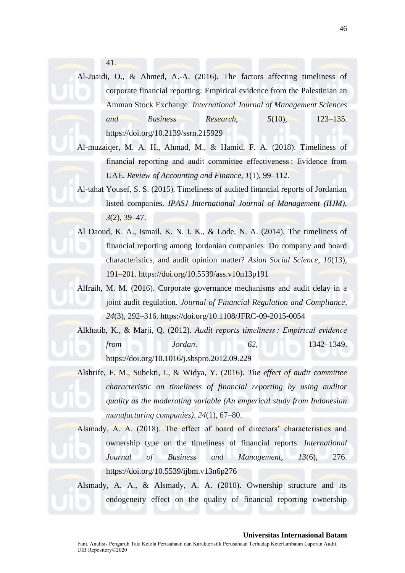41.

Al-Juaidi, O., & Ahmed, A.-A. (2016). The factors affecting timeliness of corporate financial reporting: Empirical evidence from the Palestinian an Amman Stock Exchange. *International Journal of Management Sciences and Business Research*, *5*(10), 123–135. https://doi.org/10.2139/ssrn.215929

- Al-muzaiqer, M. A. H., Ahmad, M., & Hamid, F. A. (2018). Timeliness of financial reporting and audit committee effectiveness : Evidence from UAE. *Review of Accounting and Finance*, *1*(1), 99–112.
- Al-tahat Yousef, S. S. (2015). Timeliness of audited financial reports of Jordanian listed companies. *IPASJ International Journal of Management (IIJM)*, *3*(2), 39–47.
- Al Daoud, K. A., Ismail, K. N. I. K., & Lode, N. A. (2014). The timeliness of financial reporting among Jordanian companies: Do company and board characteristics, and audit opinion matter? *Asian Social Science*, *10*(13), 191–201. https://doi.org/10.5539/ass.v10n13p191
- Alfraih, M. M. (2016). Corporate governance mechanisms and audit delay in a joint audit regulation. *Journal of Financial Regulation and Compliance*, *24*(3), 292–316. https://doi.org/10.1108/JFRC-09-2015-0054

Alkhatib, K., & Marji, Q. (2012). *Audit reports timeliness : Empirical evidence from Jordan*. *62*, 1342–1349. https://doi.org/10.1016/j.sbspro.2012.09.229

Alshrife, F. M., Subekti, I., & Widya, Y. (2016). *The effect of audit committee characteristic on timeliness of financial reporting by using auditor quality as the moderating variable (An emperical study from Indonesian manufacturing companies)*. *24*(1), 67–80.

Alsmady, A. A. (2018). The effect of board of directors' characteristics and ownership type on the timeliness of financial reports. *International Journal of Business and Management*, *13*(6), 276. https://doi.org/10.5539/ijbm.v13n6p276

Alsmady, A. A., & Alsmady, A. A. (2018). Ownership structure and its endogeneity effect on the quality of financial reporting ownership

## **Universitas Internasional Batam**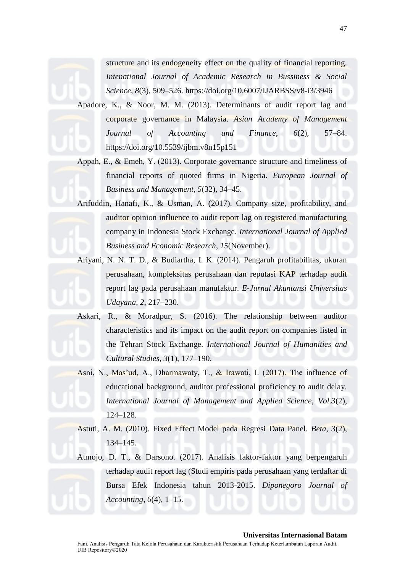structure and its endogeneity effect on the quality of financial reporting. *Intenational Journal of Academic Research in Bussiness & Social Science*, *8*(3), 509–526. https://doi.org/10.6007/IJARBSS/v8-i3/3946

Apadore, K., & Noor, M. M. (2013). Determinants of audit report lag and corporate governance in Malaysia. *Asian Academy of Management Journal of Accounting and Finance*, *6*(2), 57–84. https://doi.org/10.5539/ijbm.v8n15p151

Appah, E., & Emeh, Y. (2013). Corporate governance structure and timeliness of financial reports of quoted firms in Nigeria. *European Journal of Business and Management*, *5*(32), 34–45.

Arifuddin, Hanafi, K., & Usman, A. (2017). Company size, profitability, and auditor opinion influence to audit report lag on registered manufacturing company in Indonesia Stock Exchange. *International Journal of Applied Business and Economic Research*, *15*(November).

Ariyani, N. N. T. D., & Budiartha, I. K. (2014). Pengaruh profitabilitas, ukuran perusahaan, kompleksitas perusahaan dan reputasi KAP terhadap audit report lag pada perusahaan manufaktur. *E-Jurnal Akuntansi Universitas Udayana*, *2*, 217–230.

Askari, R., & Moradpur, S. (2016). The relationship between auditor characteristics and its impact on the audit report on companies listed in the Tehran Stock Exchange. *International Journal of Humanities and Cultural Studies*, *3*(1), 177–190.

Asni, N., Mas'ud, A., Dharmawaty, T., & Irawati, I. (2017). The influence of educational background, auditor professional proficiency to audit delay. *International Journal of Management and Applied Science*, *Vol.3*(2), 124–128.

Astuti, A. M. (2010). Fixed Effect Model pada Regresi Data Panel. *Beta*, *3*(2), 134–145.

Atmojo, D. T., & Darsono. (2017). Analisis faktor-faktor yang berpengaruh terhadap audit report lag (Studi empiris pada perusahaan yang terdaftar di Bursa Efek Indonesia tahun 2013-2015. *Diponegoro Journal of Accounting*, *6*(4), 1–15.

#### **Universitas Internasional Batam**

Fani. Analisis Pengaruh Tata Kelola Perusahaan dan Karakteristik Perusahaan Terhadap Keterlambatan Laporan Audit. UIB Repository©2020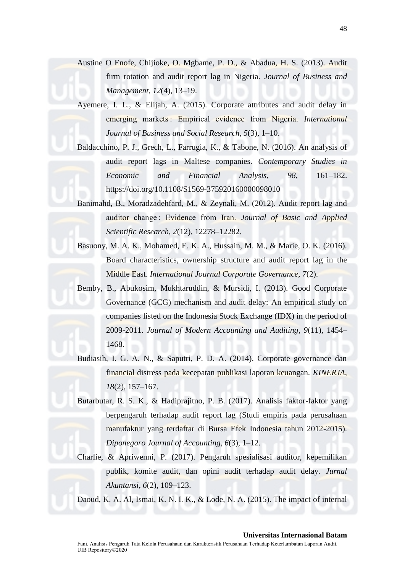Austine O Enofe, Chijioke, O. Mgbame, P. D., & Abadua, H. S. (2013). Audit firm rotation and audit report lag in Nigeria. *Journal of Business and Management*, *12*(4), 13–19.

Ayemere, I. L., & Elijah, A. (2015). Corporate attributes and audit delay in emerging markets : Empirical evidence from Nigeria. *International Journal of Business and Social Research*, *5*(3), 1–10.

- Baldacchino, P. J., Grech, L., Farrugia, K., & Tabone, N. (2016). An analysis of audit report lags in Maltese companies. *Contemporary Studies in Economic and Financial Analysis*, *98*, 161–182. https://doi.org/10.1108/S1569-375920160000098010
- Banimahd, B., Moradzadehfard, M., & Zeynali, M. (2012). Audit report lag and auditor change : Evidence from Iran. *Journal of Basic and Applied Scientific Research*, *2*(12), 12278–12282.
- Basuony, M. A. K., Mohamed, E. K. A., Hussain, M. M., & Marie, O. K. (2016). Board characteristics, ownership structure and audit report lag in the Middle East. *International Journal Corporate Governance*, *7*(2).
- Bemby, B., Abukosim, Mukhtaruddin, & Mursidi, I. (2013). Good Corporate Governance (GCG) mechanism and audit delay: An empirical study on companies listed on the Indonesia Stock Exchange (IDX) in the period of 2009-2011. *Journal of Modern Accounting and Auditing*, *9*(11), 1454– 1468.
- Budiasih, I. G. A. N., & Saputri, P. D. A. (2014). Corporate governance dan financial distress pada kecepatan publikasi laporan keuangan. *KINERJA*, *18*(2), 157–167.
- Butarbutar, R. S. K., & Hadiprajitno, P. B. (2017). Analisis faktor-faktor yang berpengaruh terhadap audit report lag (Studi empiris pada perusahaan manufaktur yang terdaftar di Bursa Efek Indonesia tahun 2012-2015). *Diponegoro Journal of Accounting*, *6*(3), 1–12.
- Charlie, & Apriwenni, P. (2017). Pengaruh spesialisasi auditor, kepemilikan publik, komite audit, dan opini audit terhadap audit delay. *Jurnal Akuntansi*, *6*(2), 109–123.

Daoud, K. A. Al, Ismai, K. N. I. K., & Lode, N. A. (2015). The impact of internal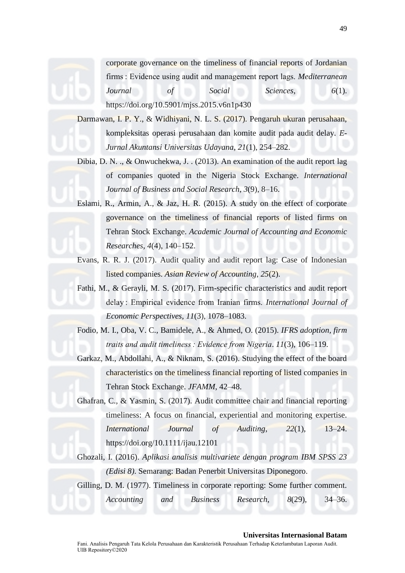corporate governance on the timeliness of financial reports of Jordanian firms : Evidence using audit and management report lags. *Mediterranean Journal of Social Sciences*, *6*(1). https://doi.org/10.5901/mjss.2015.v6n1p430

Darmawan, I. P. Y., & Widhiyani, N. L. S. (2017). Pengaruh ukuran perusahaan, kompleksitas operasi perusahaan dan komite audit pada audit delay. *E-Jurnal Akuntansi Universitas Udayana*, *21*(1), 254–282.

- Dibia, D. N. ., & Onwuchekwa, J. . (2013). An examination of the audit report lag of companies quoted in the Nigeria Stock Exchange. *International Journal of Business and Social Research*, *3*(9), 8–16.
- Eslami, R., Armin, A., & Jaz, H. R. (2015). A study on the effect of corporate governance on the timeliness of financial reports of listed firms on Tehran Stock Exchange. *Academic Journal of Accounting and Economic Researches*, *4*(4), 140–152.
- Evans, R. R. J. (2017). Audit quality and audit report lag: Case of Indonesian listed companies. *Asian Review of Accounting*, *25*(2).
- Fathi, M., & Gerayli, M. S. (2017). Firm-specific characteristics and audit report delay : Empirical evidence from Iranian firms. *International Journal of Economic Perspectives*, *11*(3), 1078–1083.

Fodio, M. I., Oba, V. C., Bamidele, A., & Ahmed, O. (2015). *IFRS adoption, firm traits and audit timeliness : Evidence from Nigeria*. *11*(3), 106–119.

Garkaz, M., Abdollahi, A., & Niknam, S. (2016). Studying the effect of the board characteristics on the timeliness financial reporting of listed companies in Tehran Stock Exchange. *JFAMM*, 42–48.

Ghafran, C., & Yasmin, S. (2017). Audit committee chair and financial reporting timeliness: A focus on financial, experiential and monitoring expertise. *International Journal of Auditing*, *22*(1), 13–24. https://doi.org/10.1111/ijau.12101

Ghozali, I. (2016). *Aplikasi analisis multivariete dengan program IBM SPSS 23 (Edisi 8)*. Semarang: Badan Penerbit Universitas Diponegoro.

Gilling, D. M. (1977). Timeliness in corporate reporting: Some further comment.

*Accounting and Business Research*, *8*(29), 34–36.

49

## **Universitas Internasional Batam**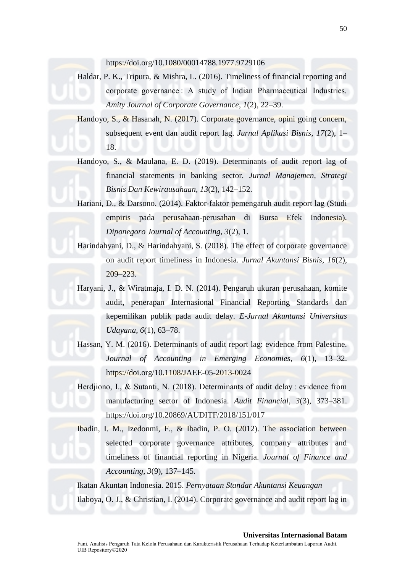https://doi.org/10.1080/00014788.1977.9729106

Haldar, P. K., Tripura, & Mishra, L. (2016). Timeliness of financial reporting and corporate governance : A study of Indian Pharmaceutical Industries. *Amity Journal of Corporate Governance*, *1*(2), 22–39.

Handoyo, S., & Hasanah, N. (2017). Corporate governance, opini going concern, subsequent event dan audit report lag. *Jurnal Aplikasi Bisnis*, *17*(2), 1– 18.

- Handoyo, S., & Maulana, E. D. (2019). Determinants of audit report lag of financial statements in banking sector. *Jurnal Manajemen, Strategi Bisnis Dan Kewirausahaan*, *13*(2), 142–152.
- Hariani, D., & Darsono. (2014). Faktor-faktor pemengaruh audit report lag (Studi empiris pada perusahaan-perusahan di Bursa Efek Indonesia). *Diponegoro Journal of Accounting*, *3*(2), 1.
- Harindahyani, D., & Harindahyani, S. (2018). The effect of corporate governance on audit report timeliness in Indonesia. *Jurnal Akuntansi Bisnis*, *16*(2), 209–223.

Haryani, J., & Wiratmaja, I. D. N. (2014). Pengaruh ukuran perusahaan, komite audit, penerapan Internasional Financial Reporting Standards dan kepemilikan publik pada audit delay. *E-Jurnal Akuntansi Universitas Udayana*, *6*(1), 63–78.

Hassan, Y. M. (2016). Determinants of audit report lag: evidence from Palestine. *Journal of Accounting in Emerging Economies*, *6*(1), 13–32. https://doi.org/10.1108/JAEE-05-2013-0024

Herdjiono, I., & Sutanti, N. (2018). Determinants of audit delay : evidence from manufacturing sector of Indonesia. *Audit Financial*, *3*(3), 373–381. https://doi.org/10.20869/AUDITF/2018/151/017

Ibadin, I. M., Izedonmi, F., & Ibadin, P. O. (2012). The association between selected corporate governance attributes, company attributes and timeliness of financial reporting in Nigeria. *Journal of Finance and Accounting*, *3*(9), 137–145.

Ikatan Akuntan Indonesia. 2015. *Pernyataan Standar Akuntansi Keuangan* Ilaboya, O. J., & Christian, I. (2014). Corporate governance and audit report lag in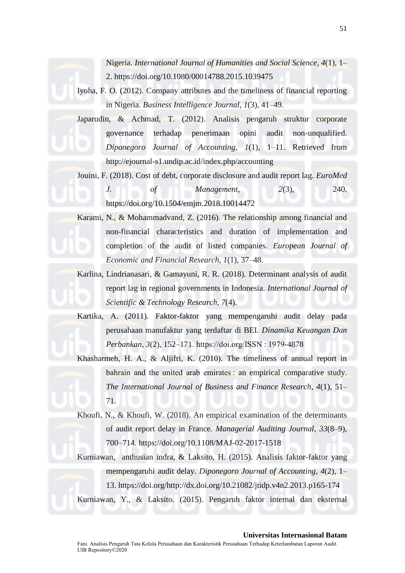Nigeria. *International Journal of Humanities and Social Science*, *4*(1), 1– 2. https://doi.org/10.1080/00014788.2015.1039475

Iyoha, F. O. (2012). Company attributes and the timeliness of financial reporting in Nigeria. *Business Intelligence Journal*, *1*(3), 41–49.

Japarudin, & Achmad, T. (2012). Analisis pengaruh struktur corporate governance terhadap penerimaan opini audit non-unqualified. *Diponegoro Journal of Accounting*, *1*(1), 1–11. Retrieved from http://ejournal-s1.undip.ac.id/index.php/accounting

Jouini, F. (2018). Cost of debt, corporate disclosure and audit report lag. *EuroMed* 

*J. of Management*, *2*(3), 240. https://doi.org/10.1504/emjm.2018.10014472

Karami, N., & Mohammadvand, Z. (2016). The relationship among financial and non-financial characteristics and duration of implementation and completion of the audit of listed companies. *European Journal of Economic and Financial Research*, *1*(1), 37–48.

Karlina, Lindrianasari, & Gamayuni, R. R. (2018). Determinant analysis of audit report lag in regional governments in Indonesia. *International Journal of Scientific & Technology Research*, *7*(4).

Kartika, A. (2011). Faktor-faktor yang mempengaruhi audit delay pada perusahaan manufaktur yang terdaftar di BEI. *Dinamika Keuangan Dan Perbankan*, *3*(2), 152–171. https://doi.org/ISSN : 1979-4878

Khasharmeh, H. A., & Aljifri, K. (2010). The timeliness of annual report in bahrain and the united arab emirates : an empirical comparative study. *The International Journal of Business and Finance Research*, *4*(1), 51– 71.

Khoufi, N., & Khoufi, W. (2018). An empirical examination of the determinants of audit report delay in France. *Managerial Auditing Journal*, *33*(8–9), 700–714. https://doi.org/10.1108/MAJ-02-2017-1518

Kurniawan, anthusian indra, & Laksito, H. (2015). Analisis faktor-faktor yang mempengaruhi audit delay. *Diponegoro Journal of Accounting*, *4*(2), 1– 13. https://doi.org/http://dx.doi.org/10.21082/jtidp.v4n2.2013.p165-174 Kurniawan, Y., & Laksito. (2015). Pengaruh faktor internal dan eksternal

**Universitas Internasional Batam**

Fani. Analisis Pengaruh Tata Kelola Perusahaan dan Karakteristik Perusahaan Terhadap Keterlambatan Laporan Audit. UIB Repository©2020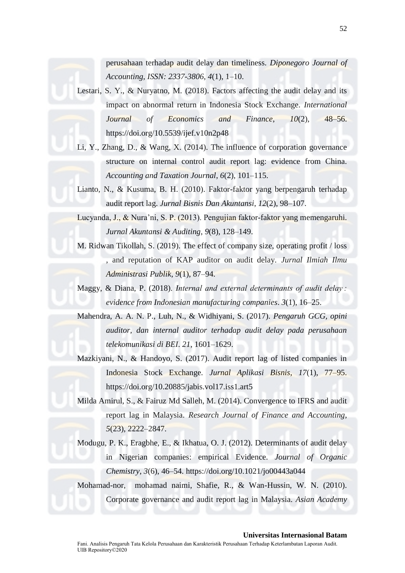perusahaan terhadap audit delay dan timeliness. *Diponegoro Journal of Accounting, ISSN: 2337-3806*, *4*(1), 1–10.

Lestari, S. Y., & Nuryatno, M. (2018). Factors affecting the audit delay and its impact on abnormal return in Indonesia Stock Exchange. *International Journal of Economics and Finance*, *10*(2), 48–56. https://doi.org/10.5539/ijef.v10n2p48

Li, Y., Zhang, D., & Wang, X. (2014). The influence of corporation governance structure on internal control audit report lag: evidence from China. *Accounting and Taxation Journal*, *6*(2), 101–115.

Lianto, N., & Kusuma, B. H. (2010). Faktor-faktor yang berpengaruh terhadap audit report lag. *Jurnal Bisnis Dan Akuntansi*, *12*(2), 98–107.

Lucyanda, J., & Nura'ni, S. P. (2013). Pengujian faktor-faktor yang memengaruhi. *Jurnal Akuntansi & Auditing*, *9*(8), 128–149.

M. Ridwan Tikollah, S. (2019). The effect of company size, operating profit / loss , and reputation of KAP auditor on audit delay. *Jurnal Ilmiah Ilmu Administrasi Publik*, *9*(1), 87–94.

Maggy, & Diana, P. (2018). *Internal and external determinants of audit delay : evidence from Indonesian manufacturing companies*. *3*(1), 16–25.

Mahendra, A. A. N. P., Luh, N., & Widhiyani, S. (2017). *Pengaruh GCG, opini auditor, dan internal auditor terhadap audit delay pada perusahaan telekomunikasi di BEI*. *21*, 1601–1629.

Mazkiyani, N., & Handoyo, S. (2017). Audit report lag of listed companies in Indonesia Stock Exchange. *Jurnal Aplikasi Bisnis*, *17*(1), 77–95. https://doi.org/10.20885/jabis.vol17.iss1.art5

Milda Amirul, S., & Fairuz Md Salleh, M. (2014). Convergence to IFRS and audit report lag in Malaysia. *Research Journal of Finance and Accounting*, *5*(23), 2222–2847.

Modugu, P. K., Eragbhe, E., & Ikhatua, O. J. (2012). Determinants of audit delay in Nigerian companies: empirical Evidence. *Journal of Organic Chemistry*, *3*(6), 46–54. https://doi.org/10.1021/jo00443a044

Mohamad-nor, mohamad naimi, Shafie, R., & Wan-Hussin, W. N. (2010). Corporate governance and audit report lag in Malaysia. *Asian Academy* 

# **Universitas Internasional Batam**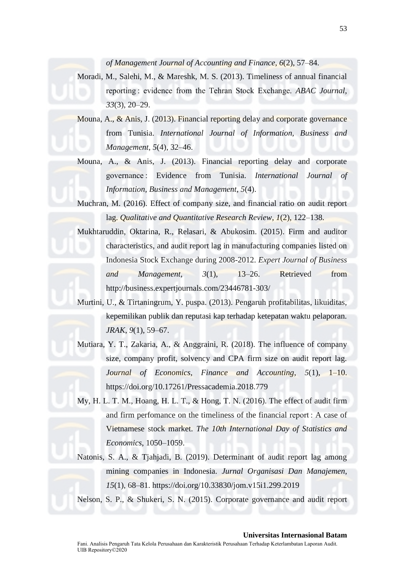*of Management Journal of Accounting and Finance*, *6*(2), 57–84.

- Moradi, M., Salehi, M., & Mareshk, M. S. (2013). Timeliness of annual financial reporting : evidence from the Tehran Stock Exchange. *ABAC Journal*, *33*(3), 20–29.
- Mouna, A., & Anis, J. (2013). Financial reporting delay and corporate governance from Tunisia. *International Journal of Information, Business and Management*, *5*(4), 32–46.
- Mouna, A., & Anis, J. (2013). Financial reporting delay and corporate governance : Evidence from Tunisia. *International Journal of Information, Business and Management*, *5*(4).

Muchran, M. (2016). Effect of company size, and financial ratio on audit report lag. *Qualitative and Quantitative Research Review*, *1*(2), 122–138.

Mukhtaruddin, Oktarina, R., Relasari, & Abukosim. (2015). Firm and auditor characteristics, and audit report lag in manufacturing companies listed on Indonesia Stock Exchange during 2008-2012. *Expert Journal of Business and Management*, *3*(1), 13–26. Retrieved from http://business.expertjournals.com/23446781-303/

Murtini, U., & Tirtaningrum, Y. puspa. (2013). Pengaruh profitabilitas, likuiditas, kepemilikan publik dan reputasi kap terhadap ketepatan waktu pelaporan. *JRAK*, *9*(1), 59–67.

- Mutiara, Y. T., Zakaria, A., & Anggraini, R. (2018). The influence of company size, company profit, solvency and CPA firm size on audit report lag. *Journal of Economics, Finance and Accounting*, *5*(1), 1–10. https://doi.org/10.17261/Pressacademia.2018.779
- My, H. L. T. M., Hoang, H. L. T., & Hong, T. N. (2016). The effect of audit firm and firm perfomance on the timeliness of the financial report : A case of Vietnamese stock market. *The 10th International Day of Statistics and Economics*, 1050–1059.
- Natonis, S. A., & Tjahjadi, B. (2019). Determinant of audit report lag among mining companies in Indonesia. *Jurnal Organisasi Dan Manajemen*, *15*(1), 68–81. https://doi.org/10.33830/jom.v15i1.299.2019

Nelson, S. P., & Shukeri, S. N. (2015). Corporate governance and audit report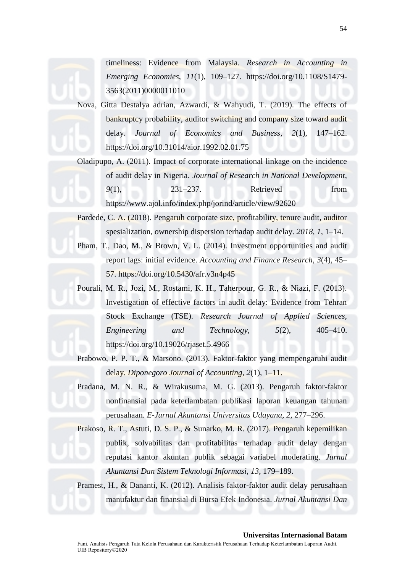Nova, Gitta Destalya adrian, Azwardi, & Wahyudi, T. (2019). The effects of bankruptcy probability, auditor switching and company size toward audit delay. *Journal of Economics and Business*, *2*(1), 147–162. https://doi.org/10.31014/aior.1992.02.01.75

Oladipupo, A. (2011). Impact of corporate international linkage on the incidence of audit delay in Nigeria. *Journal of Research in National Development*, *9*(1), 231–237. Retrieved from https://www.ajol.info/index.php/jorind/article/view/92620

Pardede, C. A. (2018). Pengaruh corporate size, profitability, tenure audit, auditor spesialization, ownership dispersion terhadap audit delay. *2018*, *1*, 1–14.

Pham, T., Dao, M., & Brown, V. L. (2014). Investment opportunities and audit report lags: initial evidence. *Accounting and Finance Research*, *3*(4), 45– 57. https://doi.org/10.5430/afr.v3n4p45

Pourali, M. R., Jozi, M., Rostami, K. H., Taherpour, G. R., & Niazi, F. (2013). Investigation of effective factors in audit delay: Evidence from Tehran Stock Exchange (TSE). *Research Journal of Applied Sciences, Engineering and Technology*, *5*(2), 405–410. https://doi.org/10.19026/rjaset.5.4966

Prabowo, P. P. T., & Marsono. (2013). Faktor-faktor yang mempengaruhi audit delay. *Diponegoro Journal of Accounting*, *2*(1), 1–11.

Pradana, M. N. R., & Wirakusuma, M. G. (2013). Pengaruh faktor-faktor nonfinansial pada keterlambatan publikasi laporan keuangan tahunan perusahaan. *E-Jurnal Akuntansi Universitas Udayana*, *2*, 277–296.

Prakoso, R. T., Astuti, D. S. P., & Sunarko, M. R. (2017). Pengaruh kepemilikan publik, solvabilitas dan profitabilitas terhadap audit delay dengan reputasi kantor akuntan publik sebagai variabel moderating. *Jurnal Akuntansi Dan Sistem Teknologi Informasi*, *13*, 179–189.

Pramest, H., & Dananti, K. (2012). Analisis faktor-faktor audit delay perusahaan manufaktur dan finansial di Bursa Efek Indonesia. *Jurnal Akuntansi Dan*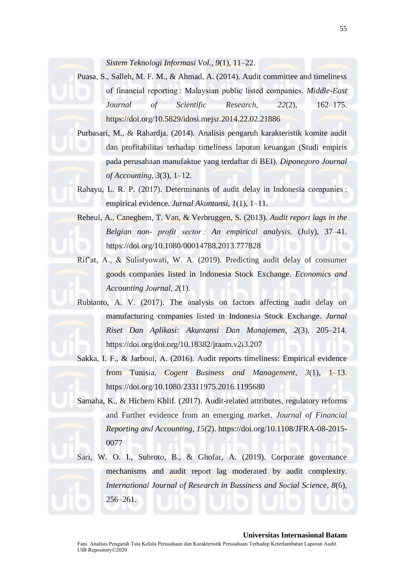*Sistem Teknologi Informasi Vol.*, *9*(1), 11–22.

Puasa, S., Salleh, M. F. M., & Ahmad, A. (2014). Audit committee and timeliness of financial reporting : Malaysian public listed companies. *Middle-East Journal of Scientific Research*, *22*(2), 162–175. https://doi.org/10.5829/idosi.mejsr.2014.22.02.21886

Purbasari, M., & Rahardja. (2014). Analisis pengaruh karakteristik komite audit dan profitabilitas terhadap timeliness laporan keuangan (Studi empiris pada perusahaan manufaktue yang terdaftar di BEI). *Diponegoro Journal of Accounting*, *3*(3), 1–12.

Rahayu, L. R. P. (2017). Determinants of audit delay in Indonesia companies : empirical evidence. *Jurnal Akuntansi*, *1*(1), 1–11.

- Reheul, A., Caneghem, T. Van, & Verbruggen, S. (2013). *Audit report lags in the Belgian non- profit sector : An empirical analysis.* (July), 37–41. https://doi.org/10.1080/00014788.2013.777828
- Rif'at, A., & Sulistyowati, W. A. (2019). Predicting audit delay of consumer goods companies listed in Indonesia Stock Exchange. *Economics and Accounting Journal*, *2*(1).
- Rubianto, A. V. (2017). The analysis on factors affecting audit delay on manufacturing companies listed in Indonesia Stock Exchange. *Jurnal Riset Dan Aplikasi: Akuntansi Dan Manajemen*, *2*(3), 205–214. https://doi.org/doi.org/10.18382/jraam.v2i3.207
- Sakka, I. F., & Jarboui, A. (2016). Audit reports timeliness: Empirical evidence from Tunisia. *Cogent Business and Management*, *3*(1), 1–13. https://doi.org/10.1080/23311975.2016.1195680
- Samaha, K., & Hichem Khlif. (2017). Audit-related attributes, regulatory reforms and Further evidence from an emerging market. *Journal of Financial Reporting and Accounting*, *15*(2). https://doi.org/10.1108/JFRA-08-2015- 0077

Sari, W. O. I., Subroto, B., & Ghofar, A. (2019). Corporate governance mechanisms and audit report lag moderated by audit complexity. *International Journal of Research in Bussiness and Social Science*, *8*(6), 256–261.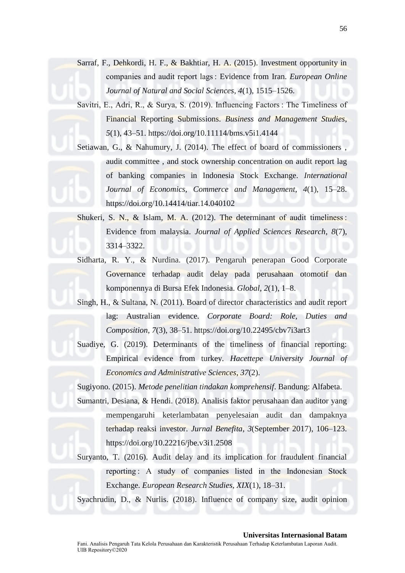Sarraf, F., Dehkordi, H. F., & Bakhtiar, H. A. (2015). Investment opportunity in companies and audit report lags : Evidence from Iran. *European Online Journal of Natural and Social Sciences*, *4*(1), 1515–1526.

Savitri, E., Adri, R., & Surya, S. (2019). Influencing Factors : The Timeliness of Financial Reporting Submissions. *Business and Management Studies*, *5*(1), 43–51. https://doi.org/10.11114/bms.v5i1.4144

Setiawan, G., & Nahumury, J. (2014). The effect of board of commissioners , audit committee , and stock ownership concentration on audit report lag of banking companies in Indonesia Stock Exchange. *International Journal of Economics, Commerce and Management*, *4*(1), 15–28. https://doi.org/10.14414/tiar.14.040102

Shukeri, S. N., & Islam, M. A. (2012). The determinant of audit timeliness : Evidence from malaysia. *Journal of Applied Sciences Research*, *8*(7), 3314–3322.

- Sidharta, R. Y., & Nurdina. (2017). Pengaruh penerapan Good Corporate Governance terhadap audit delay pada perusahaan otomotif dan komponennya di Bursa Efek Indonesia. *Global*, *2*(1), 1–8.
- Singh, H., & Sultana, N. (2011). Board of director characteristics and audit report lag: Australian evidence. *Corporate Board: Role, Duties and Composition*, *7*(3), 38–51. https://doi.org/10.22495/cbv7i3art3
- Suadiye, G. (2019). Determinants of the timeliness of financial reporting: Empirical evidence from turkey. *Hacettepe University Journal of Economics and Administrative Sciences*, *37*(2).

Sugiyono. (2015). *Metode penelitian tindakan komprehensif*. Bandung: Alfabeta.

Sumantri, Desiana, & Hendi. (2018). Analisis faktor perusahaan dan auditor yang mempengaruhi keterlambatan penyelesaian audit dan dampaknya terhadap reaksi investor. *Jurnal Benefita*, *3*(September 2017), 106–123. https://doi.org/10.22216/jbe.v3i1.2508

Suryanto, T. (2016). Audit delay and its implication for fraudulent financial reporting : A study of companies listed in the Indonesian Stock Exchange. *European Research Studies*, *XIX*(1), 18–31.

Syachrudin, D., & Nurlis. (2018). Influence of company size, audit opinion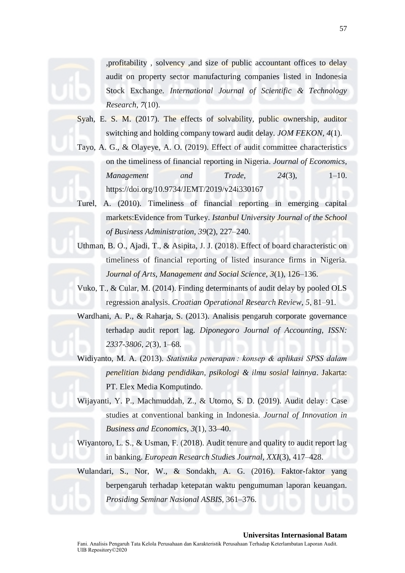

,profitability , solvency ,and size of public accountant offices to delay audit on property sector manufacturing companies listed in Indonesia Stock Exchange. *International Journal of Scientific & Technology Research*, *7*(10).

- Syah, E. S. M. (2017). The effects of solvability, public ownership, auditor switching and holding company toward audit delay. *JOM FEKON*, *4*(1).
- Tayo, A. G., & Olayeye, A. O. (2019). Effect of audit committee characteristics on the timeliness of financial reporting in Nigeria. *Journal of Economics, Management and Trade*, *24*(3), 1–10. https://doi.org/10.9734/JEMT/2019/v24i330167
- Turel, A. (2010). Timeliness of financial reporting in emerging capital markets:Evidence from Turkey. *Istanbul University Journal of the School of Business Administration*, *39*(2), 227–240.
- Uthman, B. O., Ajadi, T., & Asipita, J. J. (2018). Effect of board characteristic on timeliness of financial reporting of listed insurance firms in Nigeria. *Journal of Arts, Management and Social Science*, *3*(1), 126–136.
- Vuko, T., & Cular, M. (2014). Finding determinants of audit delay by pooled OLS regression analysis. *Croatian Operational Research Review*, *5*, 81–91.
- Wardhani, A. P., & Raharja, S. (2013). Analisis pengaruh corporate governance terhadap audit report lag. *Diponegoro Journal of Accounting, ISSN: 2337-3806*, *2*(3), 1–68.
- Widiyanto, M. A. (2013). *Statistika penerapan : konsep & aplikasi SPSS dalam penelitian bidang pendidikan, psikologi & ilmu sosial lainnya*. Jakarta: PT. Elex Media Komputindo.
- Wijayanti, Y. P., Machmuddah, Z., & Utomo, S. D. (2019). Audit delay : Case studies at conventional banking in Indonesia. *Journal of Innovation in Business and Economics*, *3*(1), 33–40.
- Wiyantoro, L. S., & Usman, F. (2018). Audit tenure and quality to audit report lag in banking. *European Research Studies Journal*, *XXI*(3), 417–428.
- Wulandari, S., Nor, W., & Sondakh, A. G. (2016). Faktor-faktor yang berpengaruh terhadap ketepatan waktu pengumuman laporan keuangan. *Prosiding Seminar Nasional ASBIS*, 361–376.